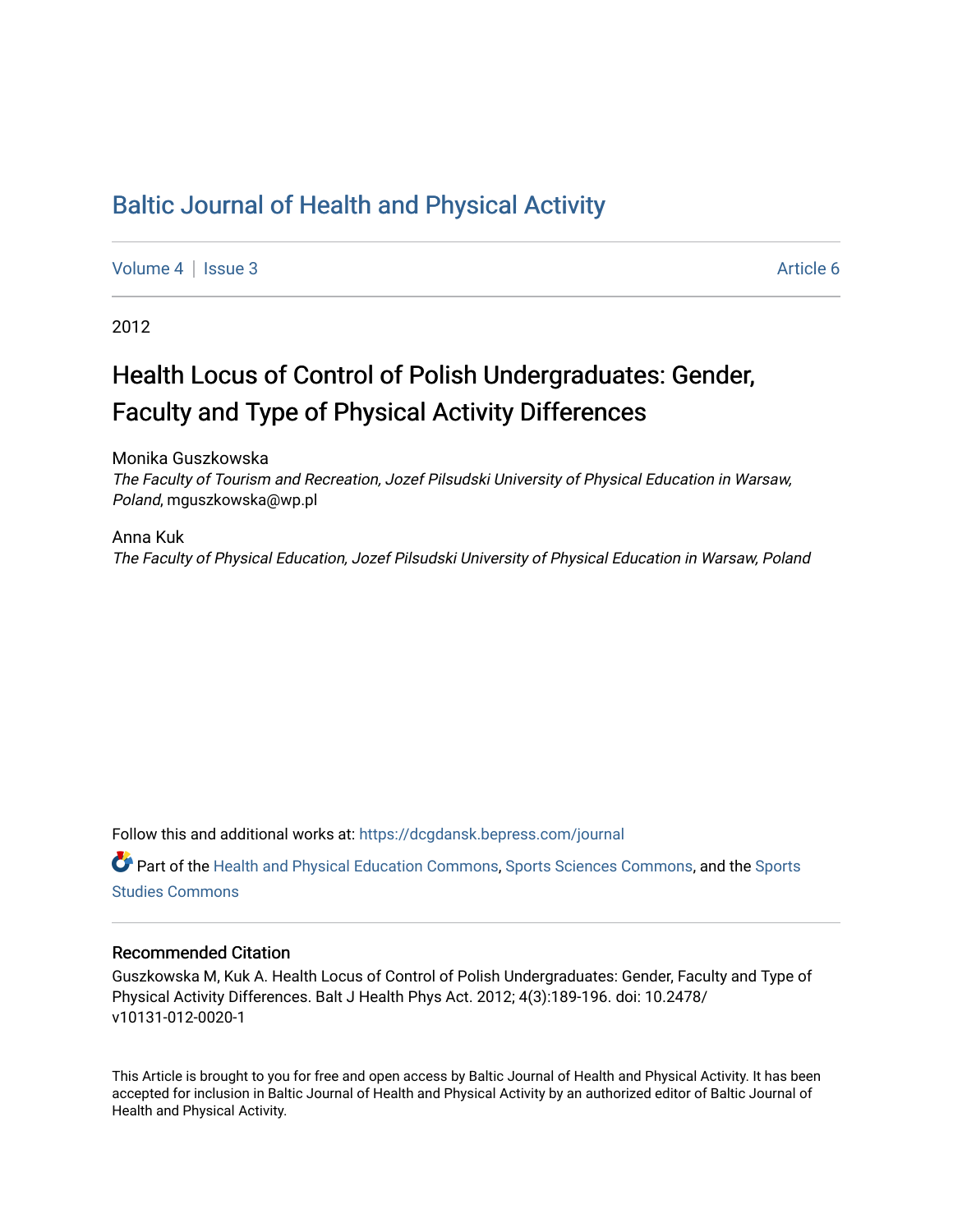# [Baltic Journal of Health and Physical Activity](https://dcgdansk.bepress.com/journal)

[Volume 4](https://dcgdansk.bepress.com/journal/vol4) | [Issue 3](https://dcgdansk.bepress.com/journal/vol4/iss3) Article 6

2012

# Health Locus of Control of Polish Undergraduates: Gender, Faculty and Type of Physical Activity Differences

Monika Guszkowska The Faculty of Tourism and Recreation, Jozef Pilsudski University of Physical Education in Warsaw, Poland, mguszkowska@wp.pl

Anna Kuk The Faculty of Physical Education, Jozef Pilsudski University of Physical Education in Warsaw, Poland

Follow this and additional works at: [https://dcgdansk.bepress.com/journal](https://dcgdansk.bepress.com/journal?utm_source=dcgdansk.bepress.com%2Fjournal%2Fvol4%2Fiss3%2F6&utm_medium=PDF&utm_campaign=PDFCoverPages)

Part of the [Health and Physical Education Commons](http://network.bepress.com/hgg/discipline/1327?utm_source=dcgdansk.bepress.com%2Fjournal%2Fvol4%2Fiss3%2F6&utm_medium=PDF&utm_campaign=PDFCoverPages), [Sports Sciences Commons](http://network.bepress.com/hgg/discipline/759?utm_source=dcgdansk.bepress.com%2Fjournal%2Fvol4%2Fiss3%2F6&utm_medium=PDF&utm_campaign=PDFCoverPages), and the [Sports](http://network.bepress.com/hgg/discipline/1198?utm_source=dcgdansk.bepress.com%2Fjournal%2Fvol4%2Fiss3%2F6&utm_medium=PDF&utm_campaign=PDFCoverPages)  [Studies Commons](http://network.bepress.com/hgg/discipline/1198?utm_source=dcgdansk.bepress.com%2Fjournal%2Fvol4%2Fiss3%2F6&utm_medium=PDF&utm_campaign=PDFCoverPages) 

#### Recommended Citation

Guszkowska M, Kuk A. Health Locus of Control of Polish Undergraduates: Gender, Faculty and Type of Physical Activity Differences. Balt J Health Phys Act. 2012; 4(3):189-196. doi: 10.2478/ v10131-012-0020-1

This Article is brought to you for free and open access by Baltic Journal of Health and Physical Activity. It has been accepted for inclusion in Baltic Journal of Health and Physical Activity by an authorized editor of Baltic Journal of Health and Physical Activity.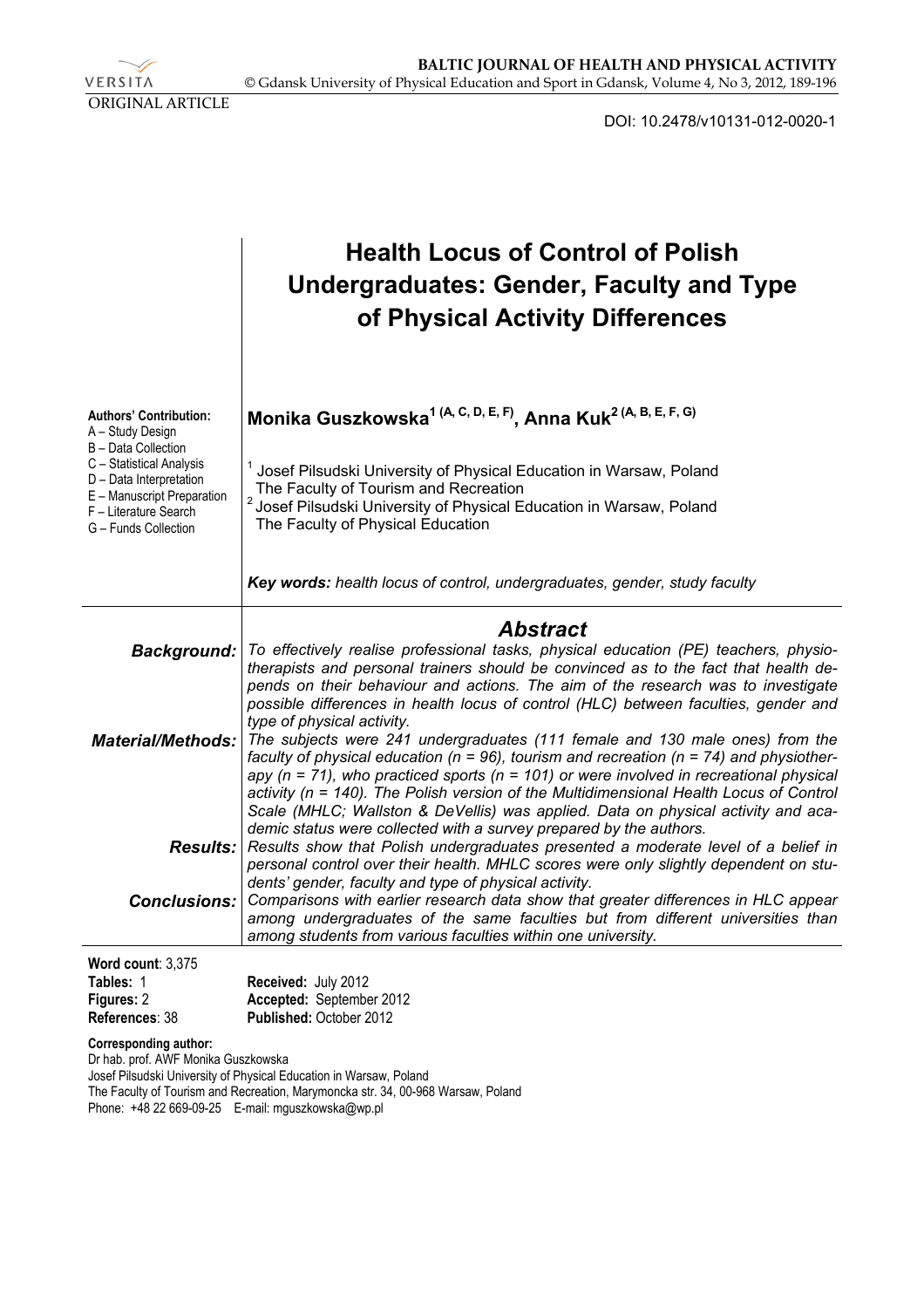VERSITA ORIGINAL ARTICLE

DOI: 10.2478/v10131-012-0020-1

|                                                                                                                                    | <b>Health Locus of Control of Polish</b><br><b>Undergraduates: Gender, Faculty and Type</b><br>of Physical Activity Differences                                                                                                                                                                                                                                                                                                                                                                                                                                                                                                                                                                                                                                                                                                                          |  |  |  |  |  |  |
|------------------------------------------------------------------------------------------------------------------------------------|----------------------------------------------------------------------------------------------------------------------------------------------------------------------------------------------------------------------------------------------------------------------------------------------------------------------------------------------------------------------------------------------------------------------------------------------------------------------------------------------------------------------------------------------------------------------------------------------------------------------------------------------------------------------------------------------------------------------------------------------------------------------------------------------------------------------------------------------------------|--|--|--|--|--|--|
| <b>Authors' Contribution:</b><br>A - Study Design<br>B - Data Collection                                                           | Monika Guszkowska <sup>1 (A, C, D, E, F)</sup> , Anna Kuk <sup>2 (A, B, E, F, G)</sup>                                                                                                                                                                                                                                                                                                                                                                                                                                                                                                                                                                                                                                                                                                                                                                   |  |  |  |  |  |  |
| C - Statistical Analysis<br>D - Data Interpretation<br>E - Manuscript Preparation<br>F - Literature Search<br>G - Funds Collection | Josef Pilsudski University of Physical Education in Warsaw, Poland<br>The Faculty of Tourism and Recreation<br><sup>2</sup> Josef Pilsudski University of Physical Education in Warsaw, Poland<br>The Faculty of Physical Education                                                                                                                                                                                                                                                                                                                                                                                                                                                                                                                                                                                                                      |  |  |  |  |  |  |
|                                                                                                                                    | Key words: health locus of control, undergraduates, gender, study faculty                                                                                                                                                                                                                                                                                                                                                                                                                                                                                                                                                                                                                                                                                                                                                                                |  |  |  |  |  |  |
|                                                                                                                                    | <b>Abstract</b>                                                                                                                                                                                                                                                                                                                                                                                                                                                                                                                                                                                                                                                                                                                                                                                                                                          |  |  |  |  |  |  |
| Background:<br><b>Material/Methods:</b>                                                                                            | To effectively realise professional tasks, physical education (PE) teachers, physio-<br>therapists and personal trainers should be convinced as to the fact that health de-<br>pends on their behaviour and actions. The aim of the research was to investigate<br>possible differences in health locus of control (HLC) between faculties, gender and<br>type of physical activity.<br>The subjects were 241 undergraduates (111 female and 130 male ones) from the<br>faculty of physical education ( $n = 96$ ), tourism and recreation ( $n = 74$ ) and physiother-<br>apy ( $n = 71$ ), who practiced sports ( $n = 101$ ) or were involved in recreational physical<br>activity (n = 140). The Polish version of the Multidimensional Health Locus of Control<br>Scale (MHLC; Wallston & DeVellis) was applied. Data on physical activity and aca- |  |  |  |  |  |  |
| <b>Results:</b>                                                                                                                    | demic status were collected with a survey prepared by the authors.<br>Results show that Polish undergraduates presented a moderate level of a belief in<br>personal control over their health. MHLC scores were only slightly dependent on stu-                                                                                                                                                                                                                                                                                                                                                                                                                                                                                                                                                                                                          |  |  |  |  |  |  |
| Conclusions:                                                                                                                       | dents' gender, faculty and type of physical activity.<br>Comparisons with earlier research data show that greater differences in HLC appear<br>among undergraduates of the same faculties but from different universities than<br>among students from various faculties within one university.                                                                                                                                                                                                                                                                                                                                                                                                                                                                                                                                                           |  |  |  |  |  |  |
| Word count: 3,375                                                                                                                  |                                                                                                                                                                                                                                                                                                                                                                                                                                                                                                                                                                                                                                                                                                                                                                                                                                                          |  |  |  |  |  |  |
| Tables: 1                                                                                                                          | Received: July 2012                                                                                                                                                                                                                                                                                                                                                                                                                                                                                                                                                                                                                                                                                                                                                                                                                                      |  |  |  |  |  |  |
| Figures: 2<br>References: 38                                                                                                       | Accepted: September 2012<br>Published: October 2012                                                                                                                                                                                                                                                                                                                                                                                                                                                                                                                                                                                                                                                                                                                                                                                                      |  |  |  |  |  |  |
| <b>Corresponding author:</b><br>Dr hab prof AWE Monika Guezkowska                                                                  |                                                                                                                                                                                                                                                                                                                                                                                                                                                                                                                                                                                                                                                                                                                                                                                                                                                          |  |  |  |  |  |  |

Dr hab. prof. AWF Monika Guszkowska

Josef Pilsudski University of Physical Education in Warsaw, Poland The Faculty of Tourism and Recreation, Marymoncka str. 34, 00-968 Warsaw, Poland Phone: +48 22 669-09-25 E-mail: mguszkowska@wp.pl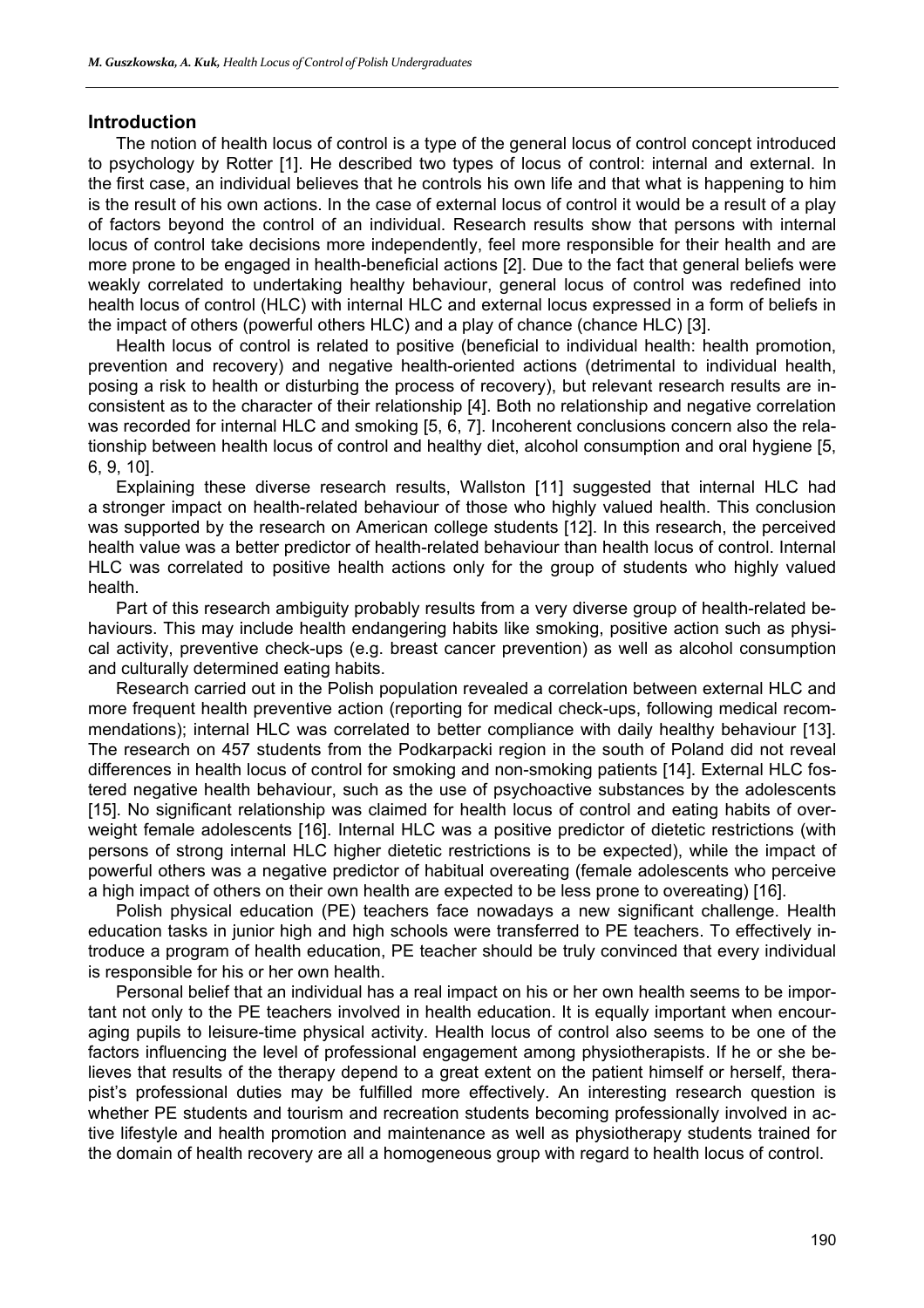#### **Introduction**

The notion of health locus of control is a type of the general locus of control concept introduced to psychology by Rotter [1]. He described two types of locus of control: internal and external. In the first case, an individual believes that he controls his own life and that what is happening to him is the result of his own actions. In the case of external locus of control it would be a result of a play of factors beyond the control of an individual. Research results show that persons with internal locus of control take decisions more independently, feel more responsible for their health and are more prone to be engaged in health-beneficial actions [2]. Due to the fact that general beliefs were weakly correlated to undertaking healthy behaviour, general locus of control was redefined into health locus of control (HLC) with internal HLC and external locus expressed in a form of beliefs in the impact of others (powerful others HLC) and a play of chance (chance HLC) [3].

Health locus of control is related to positive (beneficial to individual health: health promotion, prevention and recovery) and negative health-oriented actions (detrimental to individual health, posing a risk to health or disturbing the process of recovery), but relevant research results are inconsistent as to the character of their relationship [4]. Both no relationship and negative correlation was recorded for internal HLC and smoking [5, 6, 7]. Incoherent conclusions concern also the relationship between health locus of control and healthy diet, alcohol consumption and oral hygiene [5, 6, 9, 10].

Explaining these diverse research results, Wallston [11] suggested that internal HLC had a stronger impact on health-related behaviour of those who highly valued health. This conclusion was supported by the research on American college students [12]. In this research, the perceived health value was a better predictor of health-related behaviour than health locus of control. Internal HLC was correlated to positive health actions only for the group of students who highly valued health.

Part of this research ambiguity probably results from a very diverse group of health-related behaviours. This may include health endangering habits like smoking, positive action such as physical activity, preventive check-ups (e.g. breast cancer prevention) as well as alcohol consumption and culturally determined eating habits.

Research carried out in the Polish population revealed a correlation between external HLC and more frequent health preventive action (reporting for medical check-ups, following medical recommendations); internal HLC was correlated to better compliance with daily healthy behaviour [13]. The research on 457 students from the Podkarpacki region in the south of Poland did not reveal differences in health locus of control for smoking and non-smoking patients [14]. External HLC fostered negative health behaviour, such as the use of psychoactive substances by the adolescents [15]. No significant relationship was claimed for health locus of control and eating habits of overweight female adolescents [16]. Internal HLC was a positive predictor of dietetic restrictions (with persons of strong internal HLC higher dietetic restrictions is to be expected), while the impact of powerful others was a negative predictor of habitual overeating (female adolescents who perceive a high impact of others on their own health are expected to be less prone to overeating) [16].

Polish physical education (PE) teachers face nowadays a new significant challenge. Health education tasks in junior high and high schools were transferred to PE teachers. To effectively introduce a program of health education, PE teacher should be truly convinced that every individual is responsible for his or her own health.

Personal belief that an individual has a real impact on his or her own health seems to be important not only to the PE teachers involved in health education. It is equally important when encouraging pupils to leisure-time physical activity. Health locus of control also seems to be one of the factors influencing the level of professional engagement among physiotherapists. If he or she believes that results of the therapy depend to a great extent on the patient himself or herself, therapist's professional duties may be fulfilled more effectively. An interesting research question is whether PE students and tourism and recreation students becoming professionally involved in active lifestyle and health promotion and maintenance as well as physiotherapy students trained for the domain of health recovery are all a homogeneous group with regard to health locus of control.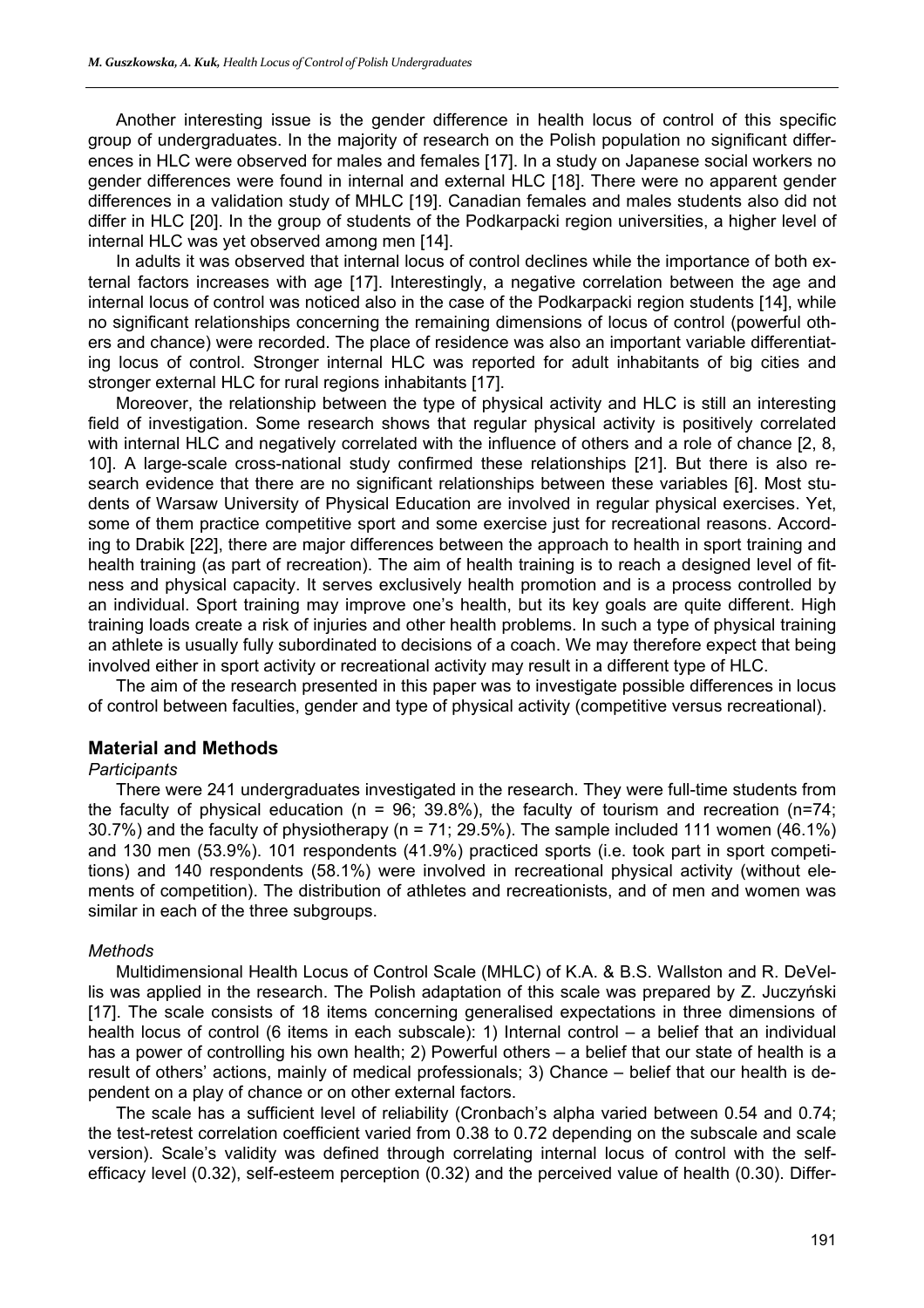Another interesting issue is the gender difference in health locus of control of this specific group of undergraduates. In the majority of research on the Polish population no significant differences in HLC were observed for males and females [17]. In a study on Japanese social workers no gender differences were found in internal and external HLC [18]. There were no apparent gender differences in a validation study of MHLC [19]. Canadian females and males students also did not differ in HLC [20]. In the group of students of the Podkarpacki region universities, a higher level of internal HLC was yet observed among men [14].

In adults it was observed that internal locus of control declines while the importance of both external factors increases with age [17]. Interestingly, a negative correlation between the age and internal locus of control was noticed also in the case of the Podkarpacki region students [14], while no significant relationships concerning the remaining dimensions of locus of control (powerful others and chance) were recorded. The place of residence was also an important variable differentiating locus of control. Stronger internal HLC was reported for adult inhabitants of big cities and stronger external HLC for rural regions inhabitants [17].

Moreover, the relationship between the type of physical activity and HLC is still an interesting field of investigation. Some research shows that regular physical activity is positively correlated with internal HLC and negatively correlated with the influence of others and a role of chance [2, 8, 10]. A large-scale cross-national study confirmed these relationships [21]. But there is also research evidence that there are no significant relationships between these variables [6]. Most students of Warsaw University of Physical Education are involved in regular physical exercises. Yet, some of them practice competitive sport and some exercise just for recreational reasons. According to Drabik [22], there are major differences between the approach to health in sport training and health training (as part of recreation). The aim of health training is to reach a designed level of fitness and physical capacity. It serves exclusively health promotion and is a process controlled by an individual. Sport training may improve one's health, but its key goals are quite different. High training loads create a risk of injuries and other health problems. In such a type of physical training an athlete is usually fully subordinated to decisions of a coach. We may therefore expect that being involved either in sport activity or recreational activity may result in a different type of HLC.

The aim of the research presented in this paper was to investigate possible differences in locus of control between faculties, gender and type of physical activity (competitive versus recreational).

#### **Material and Methods**

#### *Participants*

There were 241 undergraduates investigated in the research. They were full-time students from the faculty of physical education ( $n = 96$ ; 39.8%), the faculty of tourism and recreation ( $n=74$ ; 30.7%) and the faculty of physiotherapy (n = 71; 29.5%). The sample included 111 women (46.1%) and 130 men (53.9%). 101 respondents (41.9%) practiced sports (i.e. took part in sport competitions) and 140 respondents (58.1%) were involved in recreational physical activity (without elements of competition). The distribution of athletes and recreationists, and of men and women was similar in each of the three subgroups.

#### *Methods*

Multidimensional Health Locus of Control Scale (MHLC) of K.A. & B.S. Wallston and R. DeVellis was applied in the research. The Polish adaptation of this scale was prepared by Z. Juczyński [17]. The scale consists of 18 items concerning generalised expectations in three dimensions of health locus of control (6 items in each subscale): 1) Internal control – a belief that an individual has a power of controlling his own health; 2) Powerful others – a belief that our state of health is a result of others' actions, mainly of medical professionals; 3) Chance – belief that our health is dependent on a play of chance or on other external factors.

The scale has a sufficient level of reliability (Cronbach's alpha varied between 0.54 and 0.74; the test-retest correlation coefficient varied from 0.38 to 0.72 depending on the subscale and scale version). Scale's validity was defined through correlating internal locus of control with the selfefficacy level (0.32), self-esteem perception (0.32) and the perceived value of health (0.30). Differ-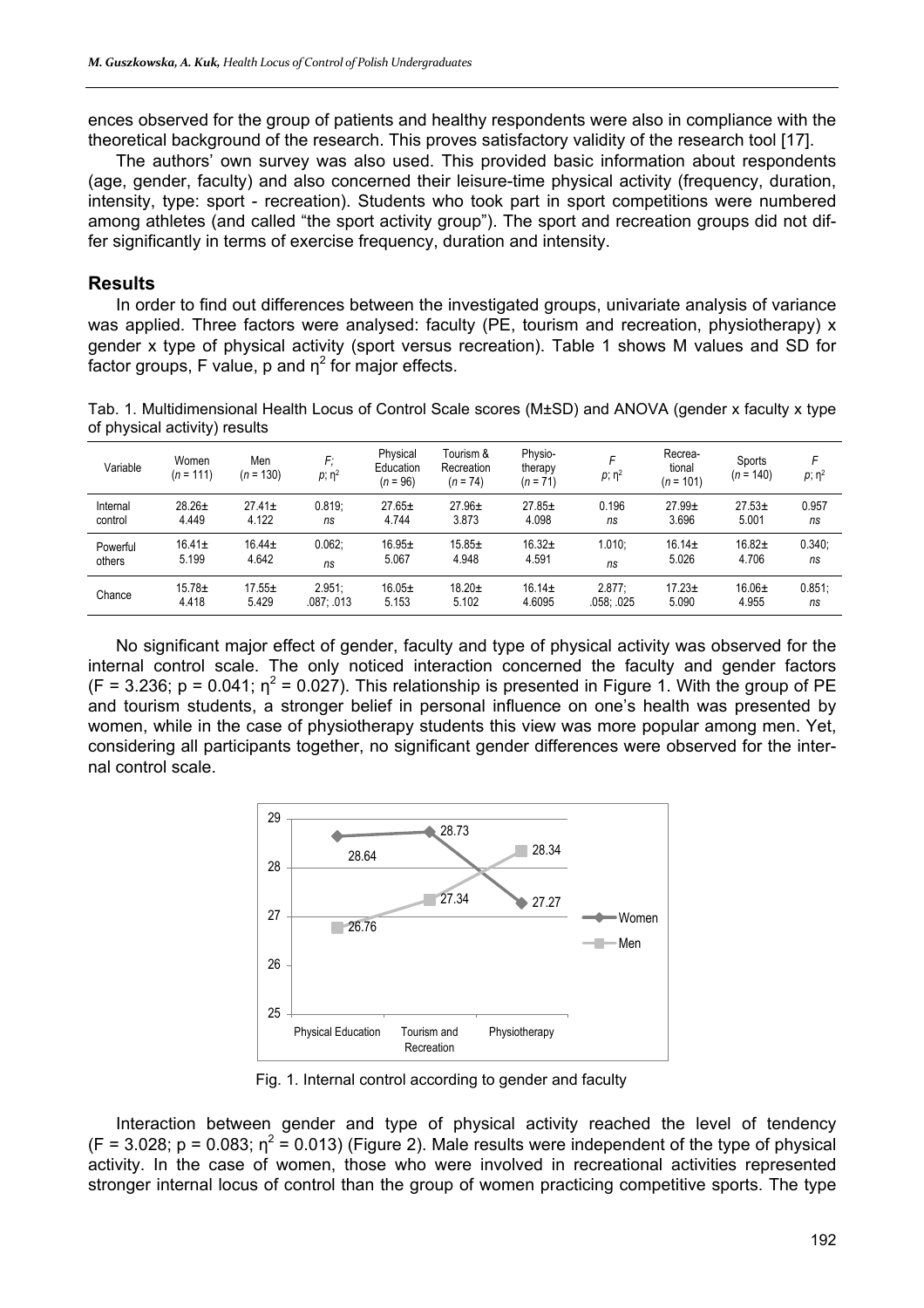ences observed for the group of patients and healthy respondents were also in compliance with the theoretical background of the research. This proves satisfactory validity of the research tool [17].

The authors' own survey was also used. This provided basic information about respondents (age, gender, faculty) and also concerned their leisure-time physical activity (frequency, duration, intensity, type: sport - recreation). Students who took part in sport competitions were numbered among athletes (and called "the sport activity group"). The sport and recreation groups did not differ significantly in terms of exercise frequency, duration and intensity.

## **Results**

In order to find out differences between the investigated groups, univariate analysis of variance was applied. Three factors were analysed: faculty (PE, tourism and recreation, physiotherapy) x gender x type of physical activity (sport versus recreation). Table 1 shows M values and SD for factor groups, F value, p and  $\eta^2$  for major effects.

Tab. 1. Multidimensional Health Locus of Control Scale scores (M±SD) and ANOVA (gender x faculty x type of physical activity) results

| Variable | Women<br>$(n = 111)$ | Men<br>$(n = 130)$ | F:<br>$p; \eta^2$ | Physical<br>Education<br>$(n = 96)$ | Tourism &<br>Recreation<br>$(n = 74)$ | Physio-<br>therapy<br>$(n = 71)$ | F<br>$p; \eta^2$ | Recrea-<br>tional<br>$(n = 101)$ | Sports<br>$(n = 140)$ | $p; \eta^2$ |
|----------|----------------------|--------------------|-------------------|-------------------------------------|---------------------------------------|----------------------------------|------------------|----------------------------------|-----------------------|-------------|
| Internal | $28.26 \pm$          | $27.41 \pm$        | 0.819.            | $27.65 \pm$                         | $27.96 \pm$                           | $27.85+$                         | 0.196            | $27.99+$                         | $27.53+$              | 0.957       |
| control  | 4.449                | 4.122              | ns                | 4.744                               | 3.873                                 | 4.098                            | ns               | 3.696                            | 5.001                 | ns          |
| Powerful | $16.41 \pm$          | $16.44 \pm$        | 0.062.            | $16.95+$                            | $15.85+$                              | $16.32+$                         | 1.010:           | $16.14 \pm$                      | $16.82 +$             | 0.340:      |
| others   | 5.199                | 4.642              | ns                | 5.067                               | 4.948                                 | 4.591                            | ns               | 5.026                            | 4.706                 | ns          |
| Chance   | $15.78 \pm$          | $17.55 \pm$        | 2.951.            | $16.05+$                            | $18.20+$                              | $16.14 \pm$                      | 2.877:           | $17.23 \pm$                      | 16.06±                | 0.851:      |
|          | 4.418                | 5.429              | .087: .013        | 5.153                               | 5.102                                 | 4.6095                           | .058: .025       | 5.090                            | 4.955                 | ns          |

No significant major effect of gender, faculty and type of physical activity was observed for the internal control scale. The only noticed interaction concerned the faculty and gender factors (F = 3.236; p = 0.041;  $\eta^2$  = 0.027). This relationship is presented in Figure 1. With the group of PE and tourism students, a stronger belief in personal influence on one's health was presented by women, while in the case of physiotherapy students this view was more popular among men. Yet, considering all participants together, no significant gender differences were observed for the internal control scale.



Fig. 1. Internal control according to gender and faculty

Interaction between gender and type of physical activity reached the level of tendency  $(F = 3.028; p = 0.083; \eta^2 = 0.013)$  (Figure 2). Male results were independent of the type of physical activity. In the case of women, those who were involved in recreational activities represented stronger internal locus of control than the group of women practicing competitive sports. The type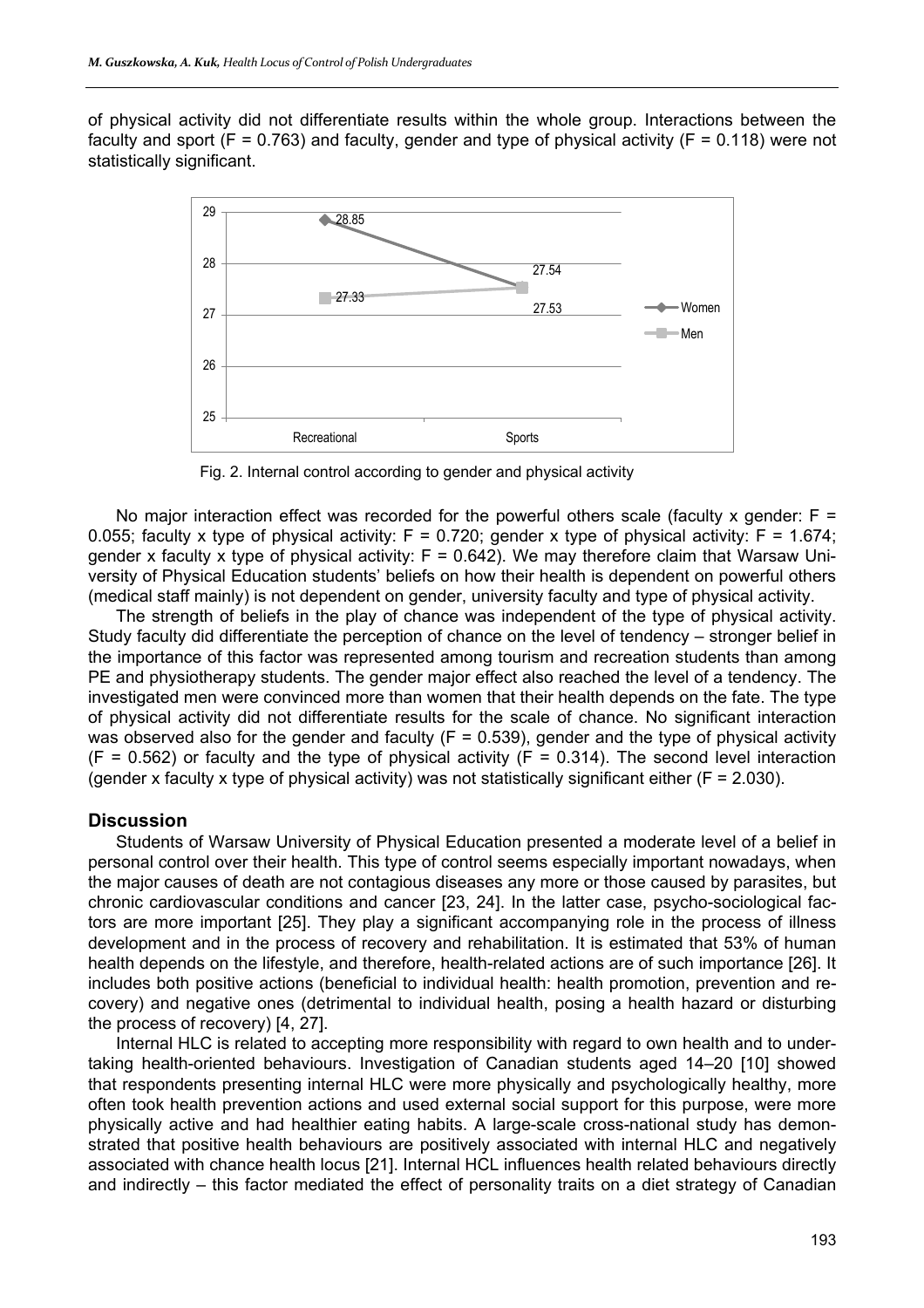of physical activity did not differentiate results within the whole group. Interactions between the faculty and sport ( $F = 0.763$ ) and faculty, gender and type of physical activity ( $F = 0.118$ ) were not statistically significant.



Fig. 2. Internal control according to gender and physical activity

No major interaction effect was recorded for the powerful others scale (faculty x gender:  $F =$ 0.055; faculty x type of physical activity:  $F = 0.720$ ; gender x type of physical activity:  $F = 1.674$ ; gender x faculty x type of physical activity:  $F = 0.642$ ). We may therefore claim that Warsaw University of Physical Education students' beliefs on how their health is dependent on powerful others (medical staff mainly) is not dependent on gender, university faculty and type of physical activity.

The strength of beliefs in the play of chance was independent of the type of physical activity. Study faculty did differentiate the perception of chance on the level of tendency – stronger belief in the importance of this factor was represented among tourism and recreation students than among PE and physiotherapy students. The gender major effect also reached the level of a tendency. The investigated men were convinced more than women that their health depends on the fate. The type of physical activity did not differentiate results for the scale of chance. No significant interaction was observed also for the gender and faculty ( $F = 0.539$ ), gender and the type of physical activity  $(F = 0.562)$  or faculty and the type of physical activity  $(F = 0.314)$ . The second level interaction (gender x faculty x type of physical activity) was not statistically significant either ( $F = 2.030$ ).

#### **Discussion**

Students of Warsaw University of Physical Education presented a moderate level of a belief in personal control over their health. This type of control seems especially important nowadays, when the major causes of death are not contagious diseases any more or those caused by parasites, but chronic cardiovascular conditions and cancer [23, 24]. In the latter case, psycho-sociological factors are more important [25]. They play a significant accompanying role in the process of illness development and in the process of recovery and rehabilitation. It is estimated that 53% of human health depends on the lifestyle, and therefore, health-related actions are of such importance [26]. It includes both positive actions (beneficial to individual health: health promotion, prevention and recovery) and negative ones (detrimental to individual health, posing a health hazard or disturbing the process of recovery) [4, 27].

Internal HLC is related to accepting more responsibility with regard to own health and to undertaking health-oriented behaviours. Investigation of Canadian students aged 14–20 [10] showed that respondents presenting internal HLC were more physically and psychologically healthy, more often took health prevention actions and used external social support for this purpose, were more physically active and had healthier eating habits. A large-scale cross-national study has demonstrated that positive health behaviours are positively associated with internal HLC and negatively associated with chance health locus [21]. Internal HCL influences health related behaviours directly and indirectly – this factor mediated the effect of personality traits on a diet strategy of Canadian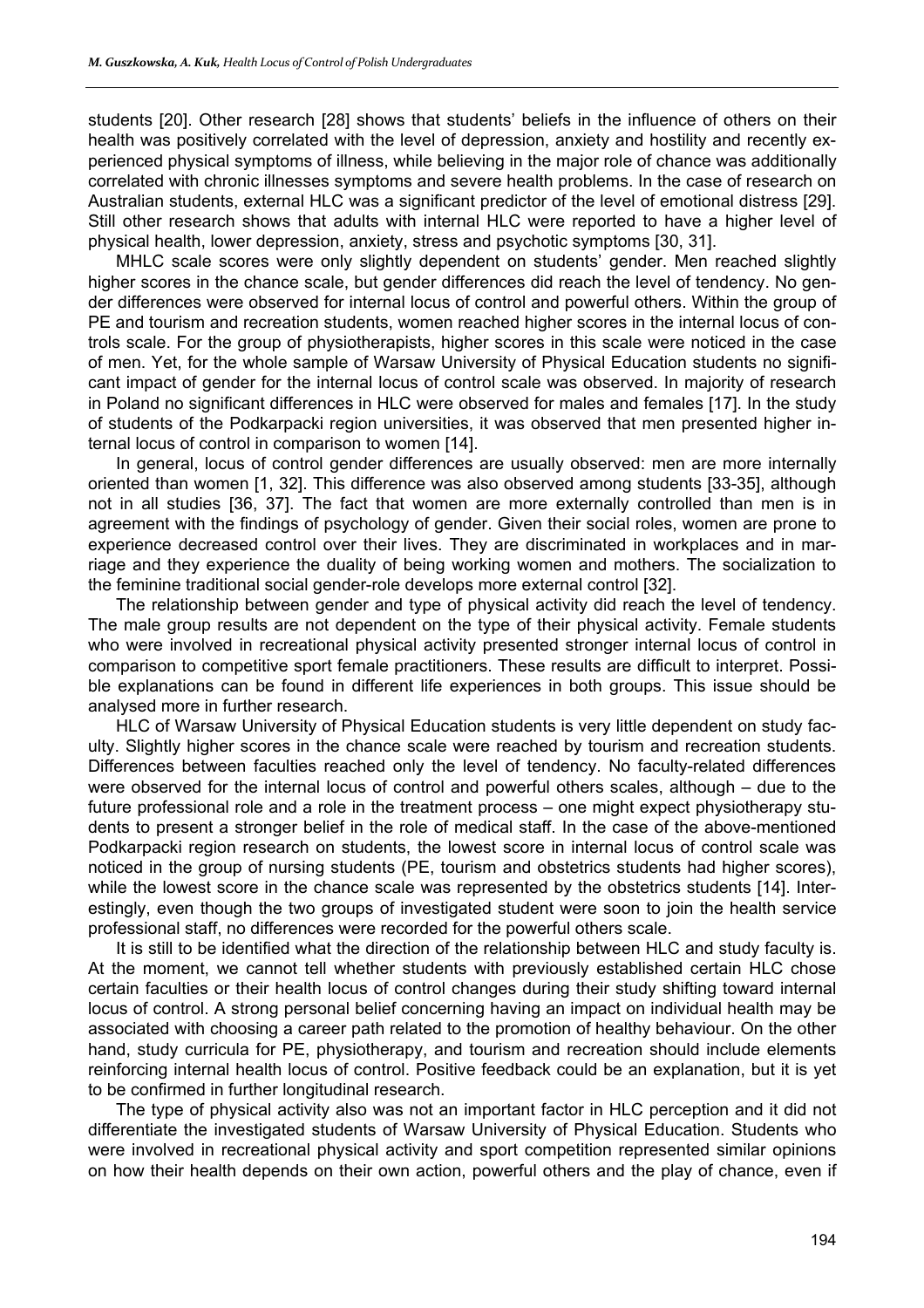students [20]. Other research [28] shows that students' beliefs in the influence of others on their health was positively correlated with the level of depression, anxiety and hostility and recently experienced physical symptoms of illness, while believing in the major role of chance was additionally correlated with chronic illnesses symptoms and severe health problems. In the case of research on Australian students, external HLC was a significant predictor of the level of emotional distress [29]. Still other research shows that adults with internal HLC were reported to have a higher level of physical health, lower depression, anxiety, stress and psychotic symptoms [30, 31].

MHLC scale scores were only slightly dependent on students' gender. Men reached slightly higher scores in the chance scale, but gender differences did reach the level of tendency. No gender differences were observed for internal locus of control and powerful others. Within the group of PE and tourism and recreation students, women reached higher scores in the internal locus of controls scale. For the group of physiotherapists, higher scores in this scale were noticed in the case of men. Yet, for the whole sample of Warsaw University of Physical Education students no significant impact of gender for the internal locus of control scale was observed. In majority of research in Poland no significant differences in HLC were observed for males and females [17]. In the study of students of the Podkarpacki region universities, it was observed that men presented higher internal locus of control in comparison to women [14].

In general, locus of control gender differences are usually observed: men are more internally oriented than women [1, 32]. This difference was also observed among students [33-35], although not in all studies [36, 37]. The fact that women are more externally controlled than men is in agreement with the findings of psychology of gender. Given their social roles, women are prone to experience decreased control over their lives. They are discriminated in workplaces and in marriage and they experience the duality of being working women and mothers. The socialization to the feminine traditional social gender-role develops more external control [32].

The relationship between gender and type of physical activity did reach the level of tendency. The male group results are not dependent on the type of their physical activity. Female students who were involved in recreational physical activity presented stronger internal locus of control in comparison to competitive sport female practitioners. These results are difficult to interpret. Possible explanations can be found in different life experiences in both groups. This issue should be analysed more in further research.

HLC of Warsaw University of Physical Education students is very little dependent on study faculty. Slightly higher scores in the chance scale were reached by tourism and recreation students. Differences between faculties reached only the level of tendency. No faculty-related differences were observed for the internal locus of control and powerful others scales, although – due to the future professional role and a role in the treatment process – one might expect physiotherapy students to present a stronger belief in the role of medical staff. In the case of the above-mentioned Podkarpacki region research on students, the lowest score in internal locus of control scale was noticed in the group of nursing students (PE, tourism and obstetrics students had higher scores), while the lowest score in the chance scale was represented by the obstetrics students [14]. Interestingly, even though the two groups of investigated student were soon to join the health service professional staff, no differences were recorded for the powerful others scale.

It is still to be identified what the direction of the relationship between HLC and study faculty is. At the moment, we cannot tell whether students with previously established certain HLC chose certain faculties or their health locus of control changes during their study shifting toward internal locus of control. A strong personal belief concerning having an impact on individual health may be associated with choosing a career path related to the promotion of healthy behaviour. On the other hand, study curricula for PE, physiotherapy, and tourism and recreation should include elements reinforcing internal health locus of control. Positive feedback could be an explanation, but it is yet to be confirmed in further longitudinal research.

The type of physical activity also was not an important factor in HLC perception and it did not differentiate the investigated students of Warsaw University of Physical Education. Students who were involved in recreational physical activity and sport competition represented similar opinions on how their health depends on their own action, powerful others and the play of chance, even if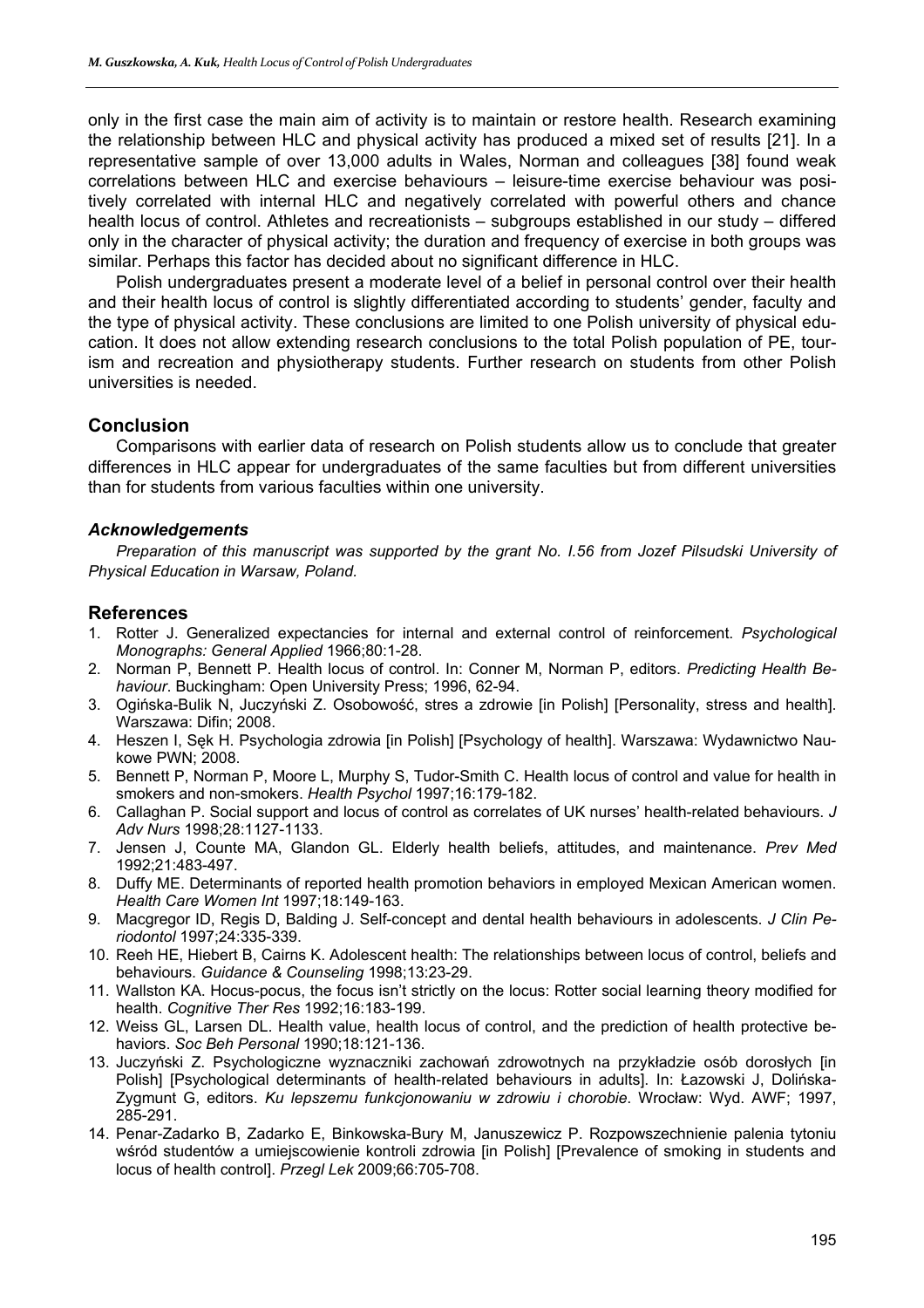only in the first case the main aim of activity is to maintain or restore health. Research examining the relationship between HLC and physical activity has produced a mixed set of results [21]. In a representative sample of over 13,000 adults in Wales, Norman and colleagues [38] found weak correlations between HLC and exercise behaviours – leisure-time exercise behaviour was positively correlated with internal HLC and negatively correlated with powerful others and chance health locus of control. Athletes and recreationists – subgroups established in our study – differed only in the character of physical activity; the duration and frequency of exercise in both groups was similar. Perhaps this factor has decided about no significant difference in HLC.

Polish undergraduates present a moderate level of a belief in personal control over their health and their health locus of control is slightly differentiated according to students' gender, faculty and the type of physical activity. These conclusions are limited to one Polish university of physical education. It does not allow extending research conclusions to the total Polish population of PE, tourism and recreation and physiotherapy students. Further research on students from other Polish universities is needed.

# **Conclusion**

Comparisons with earlier data of research on Polish students allow us to conclude that greater differences in HLC appear for undergraduates of the same faculties but from different universities than for students from various faculties within one university.

### *Acknowledgements*

*Preparation of this manuscript was supported by the grant No. I.56 from Jozef Pilsudski University of Physical Education in Warsaw, Poland.* 

# **References**

- 1. Rotter J. Generalized expectancies for internal and external control of reinforcement. *Psychological Monographs: General Applied* 1966;80:1-28.
- 2. Norman P, Bennett P. Health locus of control. In: Conner M, Norman P, editors. *Predicting Health Behaviour*. Buckingham: Open University Press; 1996, 62-94.
- 3. Ogińska-Bulik N, Juczyński Z. Osobowość, stres a zdrowie [in Polish] [Personality, stress and health]. Warszawa: Difin; 2008.
- 4. Heszen I, Sęk H. Psychologia zdrowia [in Polish] [Psychology of health]. Warszawa: Wydawnictwo Naukowe PWN; 2008.
- 5. Bennett P, Norman P, Moore L, Murphy S, Tudor-Smith C. Health locus of control and value for health in smokers and non-smokers. *Health Psychol* 1997;16:179-182.
- 6. Callaghan P. Social support and locus of control as correlates of UK nurses' health-related behaviours. *J Adv Nurs* 1998;28:1127-1133.
- 7. Jensen J, Counte MA, Glandon GL. Elderly health beliefs, attitudes, and maintenance. *Prev Med* 1992;21:483-497.
- 8. Duffy ME. Determinants of reported health promotion behaviors in employed Mexican American women. *Health Care Women Int* 1997;18:149-163.
- 9. Macgregor ID, Regis D, Balding J. Self-concept and dental health behaviours in adolescents. *J Clin Periodontol* 1997;24:335-339.
- 10. Reeh HE, Hiebert B, Cairns K. Adolescent health: The relationships between locus of control, beliefs and behaviours. *Guidance & Counseling* 1998;13:23-29.
- 11. Wallston KA. Hocus-pocus, the focus isn't strictly on the locus: Rotter social learning theory modified for health. *Cognitive Ther Res* 1992;16:183-199.
- 12. Weiss GL, Larsen DL. Health value, health locus of control, and the prediction of health protective behaviors. *Soc Beh Personal* 1990;18:121-136.
- 13. Juczyński Z. Psychologiczne wyznaczniki zachowań zdrowotnych na przykładzie osób dorosłych [in Polish] [Psychological determinants of health-related behaviours in adults]. In: Łazowski J, Dolińska-Zygmunt G, editors. *Ku lepszemu funkcjonowaniu w zdrowiu i chorobie*. Wrocław: Wyd. AWF; 1997, 285-291.
- 14. Penar-Zadarko B, Zadarko E, Binkowska-Bury M, Januszewicz P. Rozpowszechnienie palenia tytoniu wśród studentów a umiejscowienie kontroli zdrowia [in Polish] [Prevalence of smoking in students and locus of health control]. *Przegl Lek* 2009;66:705-708.